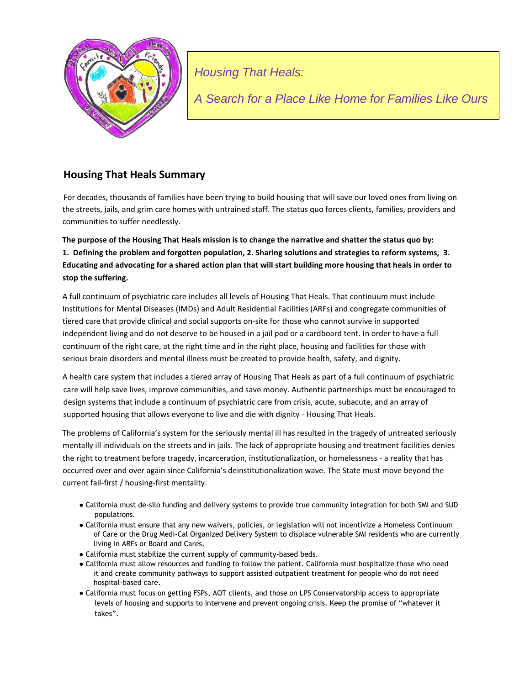

*Housing That Heals:*

*A Search for a Place Like Home for Families Like Ours*

# **Housing That Heals Summary**

For decades, thousands of families have been trying to build housing that will save our loved ones from living on the streets, jails, and grim care homes with untrained staff. The status quo forces clients, families, providers and communities to suffer needlessly.

**The purpose of the Housing That Heals mission is to change the narrative and shatter the status quo by: 1. Defining the problem and forgotten population, 2. Sharing solutions and strategies to reform systems, 3. Educating and advocating for a shared action plan that will start building more housing that heals in order to stop the suffering.** 

A full continuum of psychiatric care includes all levels of Housing That Heals. That continuum must include Institutions for Mental Diseases (IMDs) and Adult Residential Facilities (ARFs) and congregate communities of tiered care that provide clinical and social supports on-site for those who cannot survive in supported independent living and do not deserve to be housed in a jail pod or a cardboard tent. In order to have a full continuum of the right care, at the right time and in the right place, housing and facilities for those with serious brain disorders and mental illness must be created to provide health, safety, and dignity.

A health care system that includes a tiered array of Housing That Heals as part of a full continuum of psychiatric care will help save lives, improve communities, and save money. Authentic partnerships must be encouraged to design systems that include a continuum of psychiatric care from crisis, acute, subacute, and an array of supported housing that allows everyone to live and die with dignity - Housing That Heals.

The problems of California's system for the seriously mental ill has resulted in the tragedy of untreated seriously mentally ill individuals on the streets and in jails. The lack of appropriate housing and treatment facilities denies the right to treatment before tragedy, incarceration, institutionalization, or homelessness - a reality that has occurred over and over again since California's deinstitutionalization wave. The State must move beyond the current fail-first / housing-first mentality.

- California must de-silo funding and delivery systems to provide true community integration for both SMI and SUD populations.
- California must ensure that any new waivers, policies, or legislation will not incentivize a Homeless Continuum of Care or the Drug Medi-Cal Organized Delivery System to displace vulnerable SMI residents who are currently living in ARFs or Board and Cares.
- California must stabilize the current supply of community-based beds.
- California must allow resources and funding to follow the patient. California must hospitalize those who need it and create community pathways to support assisted outpatient treatment for people who do not need hospital-based care.
- California must focus on getting FSPs, AOT clients, and those on LPS Conservatorship access to appropriate levels of housing and supports to intervene and prevent ongoing crisis. Keep the promise of "whatever it takes".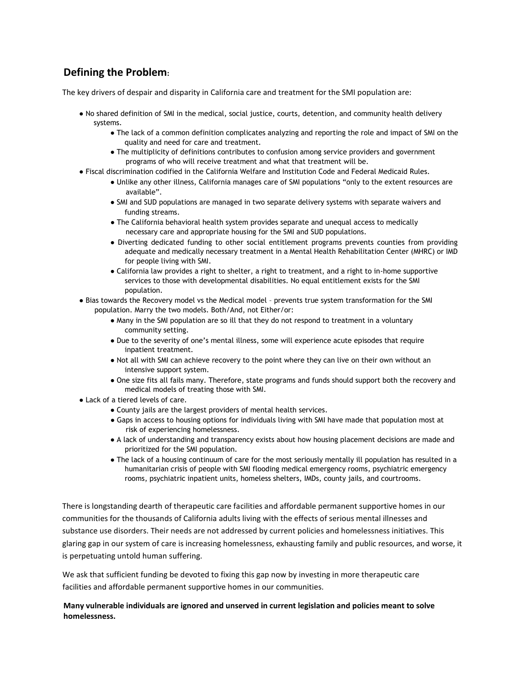# **Defining the Problem:**

The key drivers of despair and disparity in California care and treatment for the SMI population are:

- No shared definition of SMI in the medical, social justice, courts, detention, and community health delivery systems.
	- The lack of a common definition complicates analyzing and reporting the role and impact of SMI on the quality and need for care and treatment.
	- The multiplicity of definitions contributes to confusion among service providers and government programs of who will receive treatment and what that treatment will be.
- Fiscal discrimination codified in the California Welfare and Institution Code and Federal Medicaid Rules.
	- Unlike any other illness, California manages care of SMI populations "only to the extent resources are available".
	- SMI and SUD populations are managed in two separate delivery systems with separate waivers and funding streams.
	- The California behavioral health system provides separate and unequal access to medically necessary care and appropriate housing for the SMI and SUD populations.
	- Diverting dedicated funding to other social entitlement programs prevents counties from providing adequate and medically necessary treatment in a Mental Health Rehabilitation Center (MHRC) or IMD for people living with SMI.
	- California law provides a right to shelter, a right to treatment, and a right to in-home supportive services to those with developmental disabilities. No equal entitlement exists for the SMI population.
- Bias towards the Recovery model vs the Medical model prevents true system transformation for the SMI population. Marry the two models. Both/And, not Either/or:
	- Many in the SMI population are so ill that they do not respond to treatment in a voluntary community setting.
	- Due to the severity of one's mental illness, some will experience acute episodes that require inpatient treatment.
	- Not all with SMI can achieve recovery to the point where they can live on their own without an intensive support system.
	- One size fits all fails many. Therefore, state programs and funds should support both the recovery and medical models of treating those with SMI.
- Lack of a tiered levels of care.
	- County jails are the largest providers of mental health services.
	- Gaps in access to housing options for individuals living with SMI have made that population most at risk of experiencing homelessness.
	- A lack of understanding and transparency exists about how housing placement decisions are made and prioritized for the SMI population.
	- The lack of a housing continuum of care for the most seriously mentally ill population has resulted in a humanitarian crisis of people with SMI flooding medical emergency rooms, psychiatric emergency rooms, psychiatric inpatient units, homeless shelters, IMDs, county jails, and courtrooms.

There is longstanding dearth of therapeutic care facilities and affordable permanent supportive homes in our communities for the thousands of California adults living with the effects of serious mental illnesses and substance use disorders. Their needs are not addressed by current policies and homelessness initiatives. This glaring gap in our system of care is increasing homelessness, exhausting family and public resources, and worse, it is perpetuating untold human suffering.

We ask that sufficient funding be devoted to fixing this gap now by investing in more therapeutic care facilities and affordable permanent supportive homes in our communities.

#### **Many vulnerable individuals are ignored and unserved in current legislation and policies meant to solve homelessness.**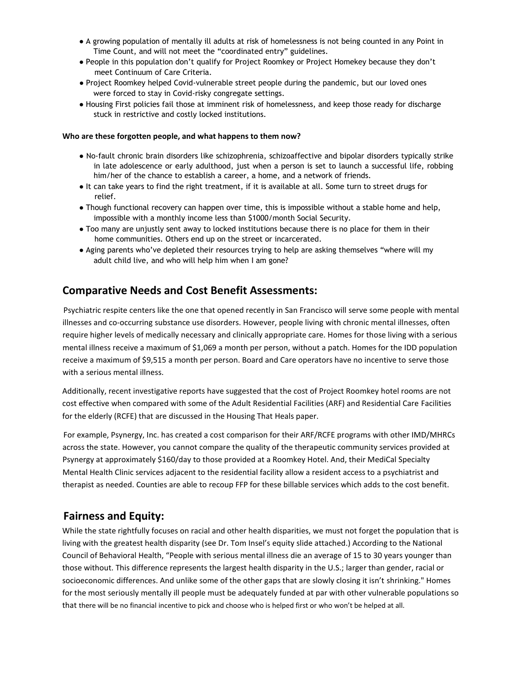- **●** A growing population of mentally ill adults at risk of homelessness is not being counted in any Point in Time Count, and will not meet the "coordinated entry" guidelines.
- People in this population don't qualify for Project Roomkey or Project Homekey because they don't meet Continuum of Care Criteria.
- Project Roomkey helped Covid-vulnerable street people during the pandemic, but our loved ones were forced to stay in Covid-risky congregate settings.
- Housing First policies fail those at imminent risk of homelessness, and keep those ready for discharge stuck in restrictive and costly locked institutions.

#### **Who are these forgotten people, and what happens to them now?**

- No-fault chronic brain disorders like schizophrenia, schizoaffective and bipolar disorders typically strike in late adolescence or early adulthood, just when a person is set to launch a successful life, robbing him/her of the chance to establish a career, a home, and a network of friends.
- It can take years to find the right treatment, if it is available at all. Some turn to street drugs for relief.
- Though functional recovery can happen over time, this is impossible without a stable home and help, impossible with a monthly income less than \$1000/month Social Security.
- Too many are unjustly sent away to locked institutions because there is no place for them in their home communities. Others end up on the street or incarcerated.
- Aging parents who've depleted their resources trying to help are asking themselves "where will my adult child live, and who will help him when I am gone?

### **Comparative Needs and Cost Benefit Assessments:**

Psychiatric respite centers like the one that opened recently in San Francisco will serve some people with mental illnesses and co-occurring substance use disorders. However, people living with chronic mental illnesses, often require higher levels of medically necessary and clinically appropriate care. Homes for those living with a serious mental illness receive a maximum of \$1,069 a month per person, without a patch. Homes for the IDD population receive a maximum of \$9,515 a month per person. Board and Care operators have no incentive to serve those with a serious mental illness.

Additionally, recent investigative reports have suggested that the cost of Project Roomkey hotel rooms are not cost effective when compared with some of the Adult Residential Facilities (ARF) and Residential Care Facilities for the elderly (RCFE) that are discussed in the Housing That Heals paper.

For example, Psynergy, Inc. has created a cost comparison for their ARF/RCFE programs with other IMD/MHRCs across the state. However, you cannot compare the quality of the therapeutic community services provided at Psynergy at approximately \$160/day to those provided at a Roomkey Hotel. And, their MediCal Specialty Mental Health Clinic services adjacent to the residential facility allow a resident access to a psychiatrist and therapist as needed. Counties are able to recoup FFP for these billable services which adds to the cost benefit.

### **Fairness and Equity:**

While the state rightfully focuses on racial and other health disparities, we must not forget the population that is living with the greatest health disparity (see Dr. Tom Insel's equity slide attached.) According to the National Council of Behavioral Health, "People with serious mental illness die an average of 15 to 30 years younger than those without. This difference represents the largest health disparity in the U.S.; larger than gender, racial or socioeconomic differences. And unlike some of the other gaps that are slowly closing it isn't shrinking." Homes for the most seriously mentally ill people must be adequately funded at par with other vulnerable populations so that there will be no financial incentive to pick and choose who is helped first or who won't be helped at all.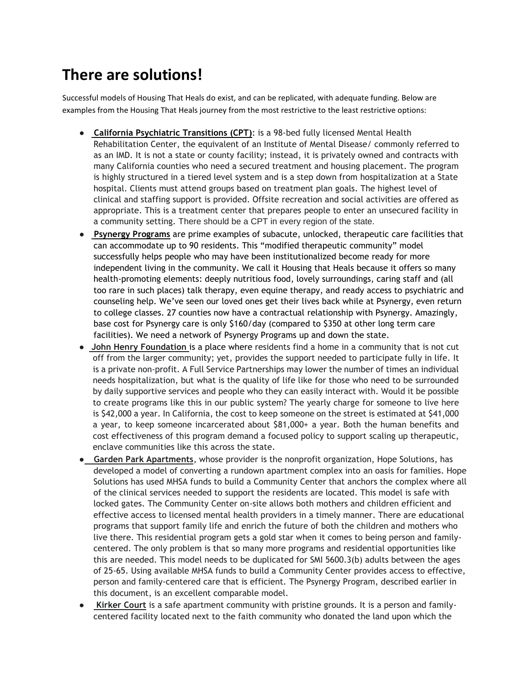# **There are solutions!**

Successful models of Housing That Heals do exist, and can be replicated, with adequate funding. Below are examples from the Housing That Heals journey from the most restrictive to the least restrictive options:

- **California Psychiatric Transitions (CPT)**: is a 98-bed fully licensed Mental Health Rehabilitation Center, the equivalent of an Institute of Mental Disease/ commonly referred to as an IMD. It is not a state or county facility; instead, it is privately owned and contracts with many California counties who need a secured treatment and housing placement. The program is highly structured in a tiered level system and is a step down from hospitalization at a State hospital. Clients must attend groups based on treatment plan goals. The highest level of clinical and staffing support is provided. Offsite recreation and social activities are offered as appropriate. This is a treatment center that prepares people to enter an unsecured facility in a community setting. There should be a CPT in every region of the state.
- **Psynergy Programs** are prime examples of subacute, unlocked, therapeutic care facilities that can accommodate up to 90 residents. This "modified therapeutic community" model successfully helps people who may have been institutionalized become ready for more independent living in the community. We call it Housing that Heals because it offers so many health-promoting elements: deeply nutritious food, lovely surroundings, caring staff and (all too rare in such places) talk therapy, even equine therapy, and ready access to psychiatric and counseling help. We've seen our loved ones get their lives back while at Psynergy, even return to college classes. 27 counties now have a contractual relationship with Psynergy. Amazingly, base cost for Psynergy care is only \$160/day (compared to \$350 at other long term care facilities). We need a network of Psynergy Programs up and down the state.
- **John Henry Foundation** is a place where residents find a home in a community that is not cut off from the larger community; yet, provides the support needed to participate fully in life. It is a private non-profit. A Full Service Partnerships may lower the number of times an individual needs hospitalization, but what is the quality of life like for those who need to be surrounded by daily supportive services and people who they can easily interact with. Would it be possible to create programs like this in our public system? The yearly charge for someone to live here is \$42,000 a year. In California, the cost to keep someone on the street is estimated at \$41,000 a year, to keep someone incarcerated about \$81,000+ a year. Both the human benefits and cost effectiveness of this program demand a focused policy to support scaling up therapeutic, enclave communities like this across the state.
- ● **Garden Park Apartments**, whose provider is the nonprofit organization, Hope Solutions, has developed a model of converting a rundown apartment complex into an oasis for families. Hope Solutions has used MHSA funds to build a Community Center that anchors the complex where all of the clinical services needed to support the residents are located. This model is safe with locked gates. The Community Center on-site allows both mothers and children efficient and effective access to licensed mental health providers in a timely manner. There are educational programs that support family life and enrich the future of both the children and mothers who live there. This residential program gets a gold star when it comes to being person and familycentered. The only problem is that so many more programs and residential opportunities like this are needed. This model needs to be duplicated for SMI 5600.3(b) adults between the ages of 25-65. Using available MHSA funds to build a Community Center provides access to effective, person and family-centered care that is efficient. The Psynergy Program, described earlier in this document, is an excellent comparable model.
- **Kirker Court** is a safe apartment community with pristine grounds. It is a person and familycentered facility located next to the faith community who donated the land upon which the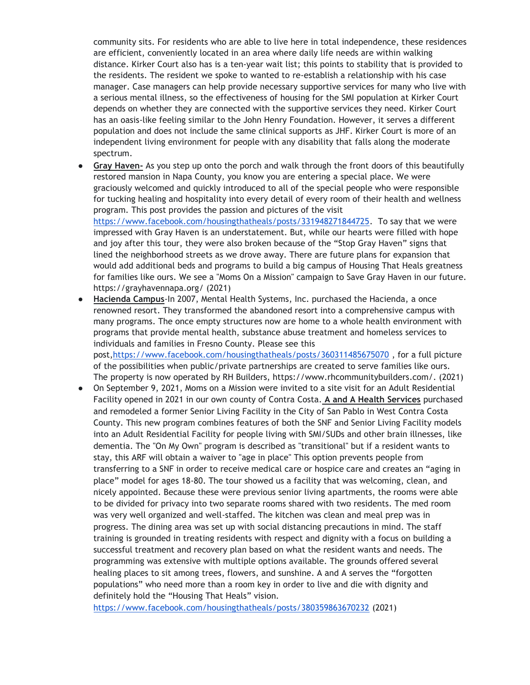community sits. For residents who are able to live here in total independence, these residences are efficient, conveniently located in an area where daily life needs are within walking distance. Kirker Court also has is a ten-year wait list; this points to stability that is provided to the residents. The resident we spoke to wanted to re-establish a relationship with his case manager. Case managers can help provide necessary supportive services for many who live with a serious mental illness, so the effectiveness of housing for the SMI population at Kirker Court depends on whether they are connected with the supportive services they need. Kirker Court has an oasis-like feeling similar to the John Henry Foundation. However, it serves a different population and does not include the same clinical supports as JHF. Kirker Court is more of an independent living environment for people with any disability that falls along the moderate spectrum.

Gray Haven- As you step up onto the porch and walk through the front doors of this beautifully restored mansion in Napa County, you know you are entering a special place. We were graciously welcomed and quickly introduced to all of the special people who were responsible for tucking healing and hospitality into every detail of every room of their health and wellness program. This post provides the passion and pictures of the visit [https://www.facebook.com/housingthatheals/posts/331948271844725.](https://www.facebook.com/housingthatheals/posts/331948271844725) To say that we were

impressed with Gray Haven is an understatement. But, while our hearts were filled with hope and joy after this tour, they were also broken because of the "Stop Gray Haven" signs that lined the neighborhood streets as we drove away. There are future plans for expansion that would add additional beds and programs to build a big campus of Housing That Heals greatness for families like ours. We see a "Moms On a Mission" campaign to Save Gray Haven in our future. https://grayhavennapa.org/ (2021)

- Hacienda Campus-In 2007, Mental Health Systems, Inc. purchased the Hacienda, a once renowned resort. They transformed the abandoned resort into a comprehensive campus with many programs. The once empty structures now are home to a whole health environment with programs that provide mental health, substance abuse treatment and homeless services to individuals and families in Fresno County. Please see this post[,https://www.facebook.com/housingthatheals/posts/360311485675070](about:blank) , for a full picture of the possibilities when public/private partnerships are created to serve families like ours. The property is now operated by RH Builders, https://www.rhcommunitybuilders.com/. (2021)
- On September 9, 2021, Moms on a Mission were invited to a site visit for an Adult Residential Facility opened in 2021 in our own county of Contra Costa. **A and A Health Services** purchased and remodeled a former Senior Living Facility in the City of San Pablo in West Contra Costa County. This new program combines features of both the SNF and Senior Living Facility models into an Adult Residential Facility for people living with SMI/SUDs and other brain illnesses, like dementia. The "On My Own" program is described as "transitional" but if a resident wants to stay, this ARF will obtain a waiver to "age in place" This option prevents people from transferring to a SNF in order to receive medical care or hospice care and creates an "aging in place" model for ages 18-80. The tour showed us a facility that was welcoming, clean, and nicely appointed. Because these were previous senior living apartments, the rooms were able to be divided for privacy into two separate rooms shared with two residents. The med room was very well organized and well-staffed. The kitchen was clean and meal prep was in progress. The dining area was set up with social distancing precautions in mind. The staff training is grounded in treating residents with respect and dignity with a focus on building a successful treatment and recovery plan based on what the resident wants and needs. The programming was extensive with multiple options available. The grounds offered several healing places to sit among trees, flowers, and sunshine. A and A serves the "forgotten populations" who need more than a room key in order to live and die with dignity and definitely hold the "Housing That Heals" vision[.](about:blank)

[https://www.facebook.com/housingthatheals/posts/380359863670232](about:blank) (2021)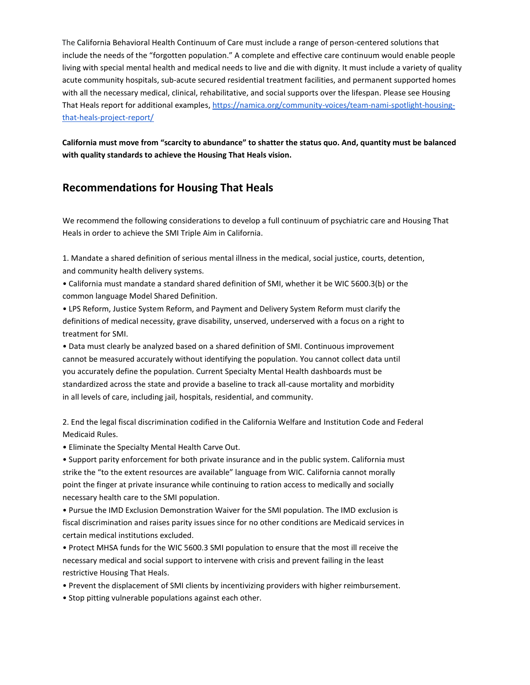The California Behavioral Health Continuum of Care must include a range of person-centered solutions that include the needs of the "forgotten population." A complete and effective care continuum would enable people living with special mental health and medical needs to live and die with dignity. It must include a variety of quality acute community hospitals, sub-acute secured residential treatment facilities, and permanent supported homes with all the necessary medical, clinical, rehabilitative, and social supports over the lifespan. Please see Housing That Heals report for additional examples[, https://namica.org/community-voices/team-nami-spotlight-housing](about:blank)[that-heals-project-report/](about:blank)

**California must move from "scarcity to abundance" to shatter the status quo. And, quantity must be balanced with quality standards to achieve the Housing That Heals vision.** 

# **Recommendations for Housing That Heals**

We recommend the following considerations to develop a full continuum of psychiatric care and Housing That Heals in order to achieve the SMI Triple Aim in California.

1. Mandate a shared definition of serious mental illness in the medical, social justice, courts, detention, and community health delivery systems.

• California must mandate a standard shared definition of SMI, whether it be WIC 5600.3(b) or the common language Model Shared Definition.

• LPS Reform, Justice System Reform, and Payment and Delivery System Reform must clarify the definitions of medical necessity, grave disability, unserved, underserved with a focus on a right to treatment for SMI.

• Data must clearly be analyzed based on a shared definition of SMI. Continuous improvement cannot be measured accurately without identifying the population. You cannot collect data until you accurately define the population. Current Specialty Mental Health dashboards must be standardized across the state and provide a baseline to track all-cause mortality and morbidity in all levels of care, including jail, hospitals, residential, and community.

2. End the legal fiscal discrimination codified in the California Welfare and Institution Code and Federal Medicaid Rules.

• Eliminate the Specialty Mental Health Carve Out.

• Support parity enforcement for both private insurance and in the public system. California must strike the "to the extent resources are available" language from WIC. California cannot morally point the finger at private insurance while continuing to ration access to medically and socially necessary health care to the SMI population.

• Pursue the IMD Exclusion Demonstration Waiver for the SMI population. The IMD exclusion is fiscal discrimination and raises parity issues since for no other conditions are Medicaid services in certain medical institutions excluded.

• Protect MHSA funds for the WIC 5600.3 SMI population to ensure that the most ill receive the necessary medical and social support to intervene with crisis and prevent failing in the least restrictive Housing That Heals.

• Prevent the displacement of SMI clients by incentivizing providers with higher reimbursement.

• Stop pitting vulnerable populations against each other.